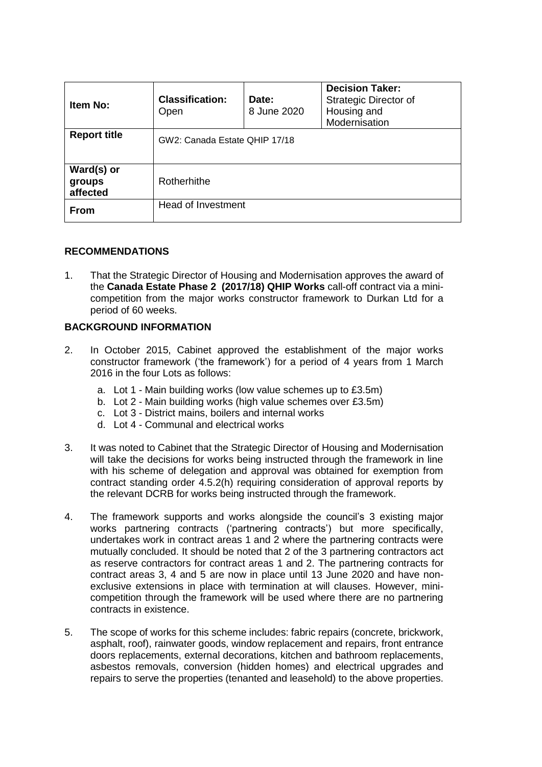| Item No:                         | <b>Classification:</b><br>Open | Date:<br>8 June 2020 | <b>Decision Taker:</b><br><b>Strategic Director of</b><br>Housing and<br>Modernisation |
|----------------------------------|--------------------------------|----------------------|----------------------------------------------------------------------------------------|
| <b>Report title</b>              | GW2: Canada Estate QHIP 17/18  |                      |                                                                                        |
| Ward(s) or<br>groups<br>affected | Rotherhithe                    |                      |                                                                                        |
| <b>From</b>                      | Head of Investment             |                      |                                                                                        |

### **RECOMMENDATIONS**

1. That the Strategic Director of Housing and Modernisation approves the award of the **Canada Estate Phase 2 (2017/18) QHIP Works** call-off contract via a minicompetition from the major works constructor framework to Durkan Ltd for a period of 60 weeks.

# **BACKGROUND INFORMATION**

- 2. In October 2015, Cabinet approved the establishment of the major works constructor framework ('the framework') for a period of 4 years from 1 March 2016 in the four Lots as follows:
	- a. Lot 1 Main building works (low value schemes up to £3.5m)
	- b. Lot 2 Main building works (high value schemes over £3.5m)
	- c. Lot 3 District mains, boilers and internal works
	- d. Lot 4 Communal and electrical works
- 3. It was noted to Cabinet that the Strategic Director of Housing and Modernisation will take the decisions for works being instructed through the framework in line with his scheme of delegation and approval was obtained for exemption from contract standing order 4.5.2(h) requiring consideration of approval reports by the relevant DCRB for works being instructed through the framework.
- 4. The framework supports and works alongside the council's 3 existing major works partnering contracts ('partnering contracts') but more specifically, undertakes work in contract areas 1 and 2 where the partnering contracts were mutually concluded. It should be noted that 2 of the 3 partnering contractors act as reserve contractors for contract areas 1 and 2. The partnering contracts for contract areas 3, 4 and 5 are now in place until 13 June 2020 and have nonexclusive extensions in place with termination at will clauses. However, minicompetition through the framework will be used where there are no partnering contracts in existence.
- 5. The scope of works for this scheme includes: fabric repairs (concrete, brickwork, asphalt, roof), rainwater goods, window replacement and repairs, front entrance doors replacements, external decorations, kitchen and bathroom replacements, asbestos removals, conversion (hidden homes) and electrical upgrades and repairs to serve the properties (tenanted and leasehold) to the above properties.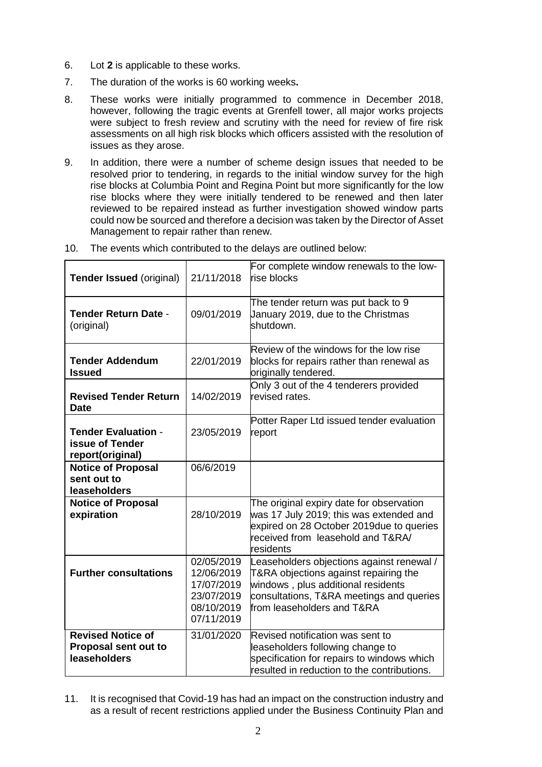- 6. Lot **2** is applicable to these works.
- 7. The duration of the works is 60 working weeks**.**
- 8. These works were initially programmed to commence in December 2018, however, following the tragic events at Grenfell tower, all major works projects were subject to fresh review and scrutiny with the need for review of fire risk assessments on all high risk blocks which officers assisted with the resolution of issues as they arose.
- 9. In addition, there were a number of scheme design issues that needed to be resolved prior to tendering, in regards to the initial window survey for the high rise blocks at Columbia Point and Regina Point but more significantly for the low rise blocks where they were initially tendered to be renewed and then later reviewed to be repaired instead as further investigation showed window parts could now be sourced and therefore a decision was taken by the Director of Asset Management to repair rather than renew.

| <b>Tender Issued (original)</b>                                          | 21/11/2018                                                                       | For complete window renewals to the low-<br>rise blocks                                                                                                                                            |
|--------------------------------------------------------------------------|----------------------------------------------------------------------------------|----------------------------------------------------------------------------------------------------------------------------------------------------------------------------------------------------|
| <b>Tender Return Date -</b><br>(original)                                | 09/01/2019                                                                       | The tender return was put back to 9<br>January 2019, due to the Christmas<br>shutdown.                                                                                                             |
| <b>Tender Addendum</b><br><b>Issued</b>                                  | 22/01/2019                                                                       | Review of the windows for the low rise<br>blocks for repairs rather than renewal as<br>originally tendered.                                                                                        |
| <b>Revised Tender Return</b><br><b>Date</b>                              | 14/02/2019                                                                       | Only 3 out of the 4 tenderers provided<br>revised rates.                                                                                                                                           |
| <b>Tender Evaluation -</b><br><b>issue of Tender</b><br>report(original) | 23/05/2019                                                                       | Potter Raper Ltd issued tender evaluation<br>report                                                                                                                                                |
| <b>Notice of Proposal</b><br>sent out to<br>leaseholders                 | 06/6/2019                                                                        |                                                                                                                                                                                                    |
| <b>Notice of Proposal</b><br>expiration                                  | 28/10/2019                                                                       | The original expiry date for observation<br>was 17 July 2019; this was extended and<br>expired on 28 October 2019due to queries<br>received from leasehold and T&RA/<br>residents                  |
| <b>Further consultations</b>                                             | 02/05/2019<br>12/06/2019<br>17/07/2019<br>23/07/2019<br>08/10/2019<br>07/11/2019 | Leaseholders objections against renewal /<br>T&RA objections against repairing the<br>windows, plus additional residents<br>consultations, T&RA meetings and queries<br>from leaseholders and T&RA |
| <b>Revised Notice of</b><br>Proposal sent out to<br>leaseholders         | 31/01/2020                                                                       | Revised notification was sent to<br>leaseholders following change to<br>specification for repairs to windows which<br>resulted in reduction to the contributions.                                  |

10. The events which contributed to the delays are outlined below:

11. It is recognised that Covid-19 has had an impact on the construction industry and as a result of recent restrictions applied under the Business Continuity Plan and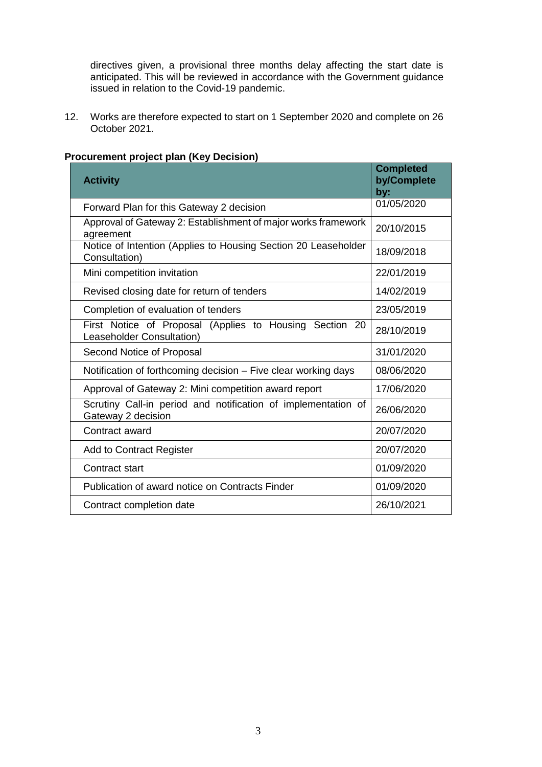directives given, a provisional three months delay affecting the start date is anticipated. This will be reviewed in accordance with the Government guidance issued in relation to the Covid-19 pandemic.

12. Works are therefore expected to start on 1 September 2020 and complete on 26 October 2021.

| <b>Activity</b>                                                                      | <b>Completed</b><br>by/Complete<br>by: |
|--------------------------------------------------------------------------------------|----------------------------------------|
| Forward Plan for this Gateway 2 decision                                             | 01/05/2020                             |
| Approval of Gateway 2: Establishment of major works framework<br>agreement           | 20/10/2015                             |
| Notice of Intention (Applies to Housing Section 20 Leaseholder<br>Consultation)      | 18/09/2018                             |
| Mini competition invitation                                                          | 22/01/2019                             |
| Revised closing date for return of tenders                                           | 14/02/2019                             |
| Completion of evaluation of tenders                                                  | 23/05/2019                             |
| First Notice of Proposal (Applies to Housing Section 20<br>Leaseholder Consultation) | 28/10/2019                             |
| Second Notice of Proposal                                                            | 31/01/2020                             |
| Notification of forthcoming decision - Five clear working days                       | 08/06/2020                             |
| Approval of Gateway 2: Mini competition award report                                 | 17/06/2020                             |
| Scrutiny Call-in period and notification of implementation of<br>Gateway 2 decision  | 26/06/2020                             |
| Contract award                                                                       | 20/07/2020                             |
| <b>Add to Contract Register</b>                                                      | 20/07/2020                             |
| <b>Contract start</b>                                                                | 01/09/2020                             |
| Publication of award notice on Contracts Finder                                      | 01/09/2020                             |
| Contract completion date                                                             | 26/10/2021                             |

# **Procurement project plan (Key Decision)**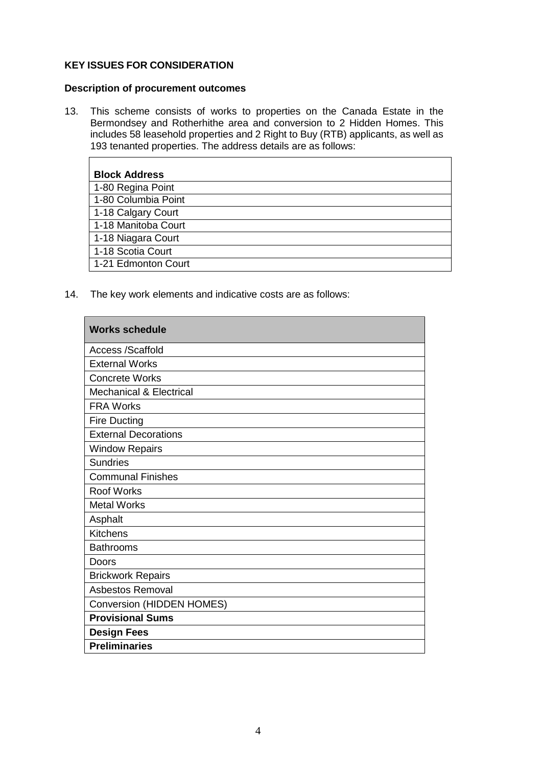# **KEY ISSUES FOR CONSIDERATION**

#### **Description of procurement outcomes**

13. This scheme consists of works to properties on the Canada Estate in the Bermondsey and Rotherhithe area and conversion to 2 Hidden Homes. This includes 58 leasehold properties and 2 Right to Buy (RTB) applicants, as well as 193 tenanted properties. The address details are as follows:

| <b>Block Address</b> |
|----------------------|
| 1-80 Regina Point    |
| 1-80 Columbia Point  |
| 1-18 Calgary Court   |
| 1-18 Manitoba Court  |
| 1-18 Niagara Court   |
| 1-18 Scotia Court    |
| 1-21 Edmonton Court  |

14. The key work elements and indicative costs are as follows:

| <b>Works schedule</b>              |
|------------------------------------|
| <b>Access /Scaffold</b>            |
| <b>External Works</b>              |
| <b>Concrete Works</b>              |
| <b>Mechanical &amp; Electrical</b> |
| <b>FRA Works</b>                   |
| <b>Fire Ducting</b>                |
| <b>External Decorations</b>        |
| <b>Window Repairs</b>              |
| <b>Sundries</b>                    |
| <b>Communal Finishes</b>           |
| <b>Roof Works</b>                  |
| <b>Metal Works</b>                 |
| Asphalt                            |
| <b>Kitchens</b>                    |
| <b>Bathrooms</b>                   |
| Doors                              |
| <b>Brickwork Repairs</b>           |
| <b>Asbestos Removal</b>            |
| <b>Conversion (HIDDEN HOMES)</b>   |
| <b>Provisional Sums</b>            |
| <b>Design Fees</b>                 |
| <b>Preliminaries</b>               |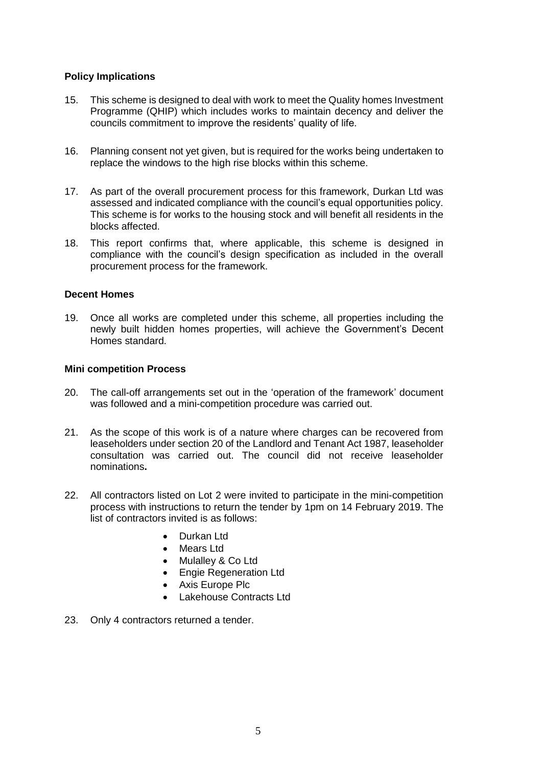### **Policy Implications**

- 15. This scheme is designed to deal with work to meet the Quality homes Investment Programme (QHIP) which includes works to maintain decency and deliver the councils commitment to improve the residents' quality of life.
- 16. Planning consent not yet given, but is required for the works being undertaken to replace the windows to the high rise blocks within this scheme.
- 17. As part of the overall procurement process for this framework, Durkan Ltd was assessed and indicated compliance with the council's equal opportunities policy. This scheme is for works to the housing stock and will benefit all residents in the blocks affected.
- 18. This report confirms that, where applicable, this scheme is designed in compliance with the council's design specification as included in the overall procurement process for the framework.

#### **Decent Homes**

19. Once all works are completed under this scheme, all properties including the newly built hidden homes properties, will achieve the Government's Decent Homes standard.

#### **Mini competition Process**

- 20. The call-off arrangements set out in the 'operation of the framework' document was followed and a mini-competition procedure was carried out.
- 21. As the scope of this work is of a nature where charges can be recovered from leaseholders under section 20 of the Landlord and Tenant Act 1987, leaseholder consultation was carried out. The council did not receive leaseholder nominations**.**
- 22. All contractors listed on Lot 2 were invited to participate in the mini-competition process with instructions to return the tender by 1pm on 14 February 2019. The list of contractors invited is as follows:
	- Durkan Ltd
	- Mears Ltd
	- Mulalley & Co Ltd
	- **Engie Regeneration Ltd**
	- Axis Europe Plc
	- Lakehouse Contracts Ltd
- 23. Only 4 contractors returned a tender.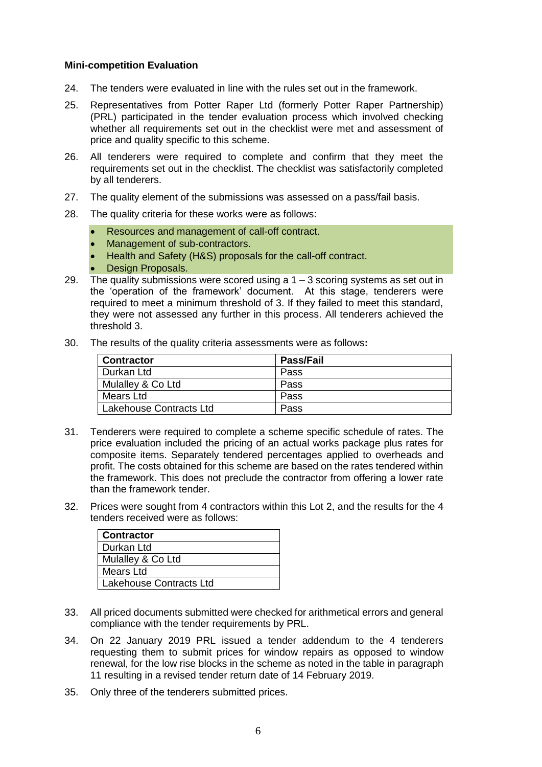#### **Mini-competition Evaluation**

- 24. The tenders were evaluated in line with the rules set out in the framework.
- 25. Representatives from Potter Raper Ltd (formerly Potter Raper Partnership) (PRL) participated in the tender evaluation process which involved checking whether all requirements set out in the checklist were met and assessment of price and quality specific to this scheme.
- 26. All tenderers were required to complete and confirm that they meet the requirements set out in the checklist. The checklist was satisfactorily completed by all tenderers.
- 27. The quality element of the submissions was assessed on a pass/fail basis.
- 28. The quality criteria for these works were as follows:
	- Resources and management of call-off contract.
	- Management of sub-contractors.
	- Health and Safety (H&S) proposals for the call-off contract.
	- Design Proposals.
- 29. The quality submissions were scored using a  $1 3$  scoring systems as set out in the 'operation of the framework' document. At this stage, tenderers were required to meet a minimum threshold of 3. If they failed to meet this standard, they were not assessed any further in this process. All tenderers achieved the threshold 3.
- 30. The results of the quality criteria assessments were as follows**:**

| <b>Contractor</b>       | <b>Pass/Fail</b> |
|-------------------------|------------------|
| l Durkan Ltd            | Pass             |
| Mulalley & Co Ltd       | Pass             |
| Mears Ltd               | Pass             |
| Lakehouse Contracts Ltd | Pass             |

- 31. Tenderers were required to complete a scheme specific schedule of rates. The price evaluation included the pricing of an actual works package plus rates for composite items. Separately tendered percentages applied to overheads and profit. The costs obtained for this scheme are based on the rates tendered within the framework. This does not preclude the contractor from offering a lower rate than the framework tender.
- 32. Prices were sought from 4 contractors within this Lot 2, and the results for the 4 tenders received were as follows:

| Contractor                     |
|--------------------------------|
| Durkan Ltd                     |
| Mulalley & Co Ltd              |
| Mears Ltd                      |
| <b>Lakehouse Contracts Ltd</b> |

- 33. All priced documents submitted were checked for arithmetical errors and general compliance with the tender requirements by PRL.
- 34. On 22 January 2019 PRL issued a tender addendum to the 4 tenderers requesting them to submit prices for window repairs as opposed to window renewal, for the low rise blocks in the scheme as noted in the table in paragraph 11 resulting in a revised tender return date of 14 February 2019.
- 35. Only three of the tenderers submitted prices.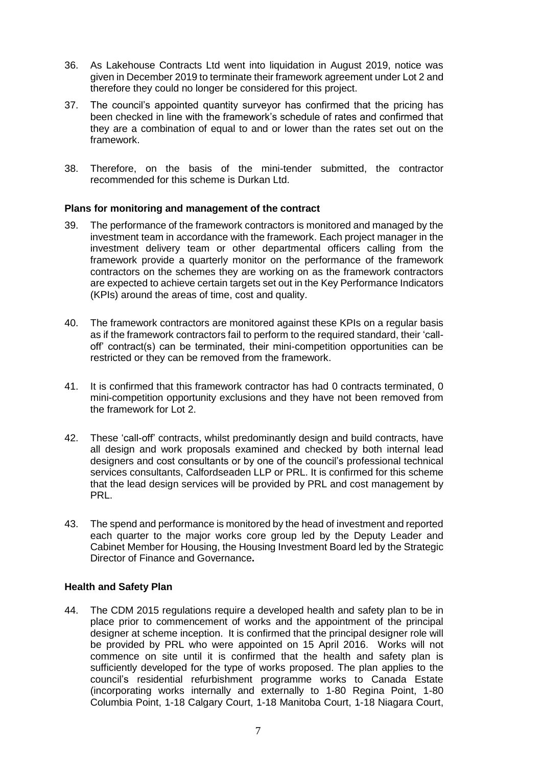- 36. As Lakehouse Contracts Ltd went into liquidation in August 2019, notice was given in December 2019 to terminate their framework agreement under Lot 2 and therefore they could no longer be considered for this project.
- 37. The council's appointed quantity surveyor has confirmed that the pricing has been checked in line with the framework's schedule of rates and confirmed that they are a combination of equal to and or lower than the rates set out on the framework.
- 38. Therefore, on the basis of the mini-tender submitted, the contractor recommended for this scheme is Durkan Ltd.

#### **Plans for monitoring and management of the contract**

- 39. The performance of the framework contractors is monitored and managed by the investment team in accordance with the framework. Each project manager in the investment delivery team or other departmental officers calling from the framework provide a quarterly monitor on the performance of the framework contractors on the schemes they are working on as the framework contractors are expected to achieve certain targets set out in the Key Performance Indicators (KPIs) around the areas of time, cost and quality.
- 40. The framework contractors are monitored against these KPIs on a regular basis as if the framework contractors fail to perform to the required standard, their 'calloff' contract(s) can be terminated, their mini-competition opportunities can be restricted or they can be removed from the framework.
- 41. It is confirmed that this framework contractor has had 0 contracts terminated, 0 mini-competition opportunity exclusions and they have not been removed from the framework for Lot 2.
- 42. These 'call-off' contracts, whilst predominantly design and build contracts, have all design and work proposals examined and checked by both internal lead designers and cost consultants or by one of the council's professional technical services consultants, Calfordseaden LLP or PRL. It is confirmed for this scheme that the lead design services will be provided by PRL and cost management by PRL.
- 43. The spend and performance is monitored by the head of investment and reported each quarter to the major works core group led by the Deputy Leader and Cabinet Member for Housing, the Housing Investment Board led by the Strategic Director of Finance and Governance**.**

### **Health and Safety Plan**

44. The CDM 2015 regulations require a developed health and safety plan to be in place prior to commencement of works and the appointment of the principal designer at scheme inception. It is confirmed that the principal designer role will be provided by PRL who were appointed on 15 April 2016. Works will not commence on site until it is confirmed that the health and safety plan is sufficiently developed for the type of works proposed. The plan applies to the council's residential refurbishment programme works to Canada Estate (incorporating works internally and externally to 1-80 Regina Point, 1-80 Columbia Point, 1-18 Calgary Court, 1-18 Manitoba Court, 1-18 Niagara Court,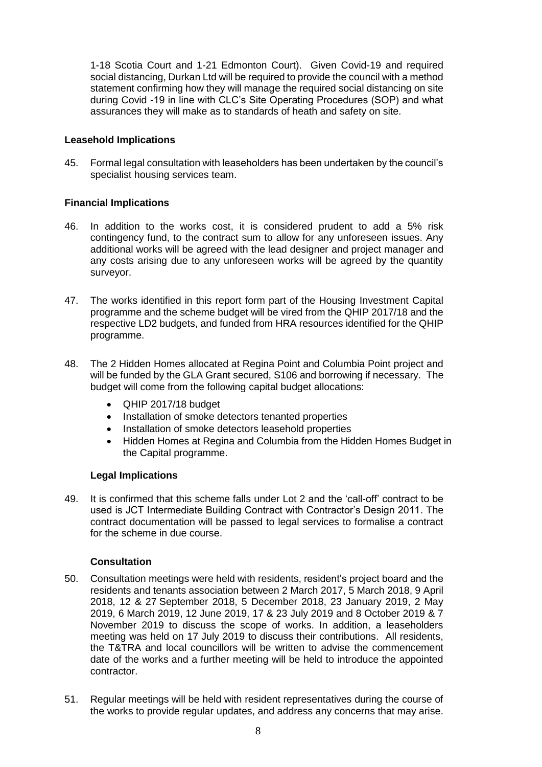1-18 Scotia Court and 1-21 Edmonton Court). Given Covid-19 and required social distancing, Durkan Ltd will be required to provide the council with a method statement confirming how they will manage the required social distancing on site during Covid -19 in line with CLC's Site Operating Procedures (SOP) and what assurances they will make as to standards of heath and safety on site.

# **Leasehold Implications**

45. Formal legal consultation with leaseholders has been undertaken by the council's specialist housing services team.

# **Financial Implications**

- 46. In addition to the works cost, it is considered prudent to add a 5% risk contingency fund, to the contract sum to allow for any unforeseen issues. Any additional works will be agreed with the lead designer and project manager and any costs arising due to any unforeseen works will be agreed by the quantity surveyor.
- 47. The works identified in this report form part of the Housing Investment Capital programme and the scheme budget will be vired from the QHIP 2017/18 and the respective LD2 budgets, and funded from HRA resources identified for the QHIP programme.
- 48. The 2 Hidden Homes allocated at Regina Point and Columbia Point project and will be funded by the GLA Grant secured, S106 and borrowing if necessary. The budget will come from the following capital budget allocations:
	- QHIP 2017/18 budget
	- Installation of smoke detectors tenanted properties
	- Installation of smoke detectors leasehold properties
	- Hidden Homes at Regina and Columbia from the Hidden Homes Budget in the Capital programme.

### **Legal Implications**

49. It is confirmed that this scheme falls under Lot 2 and the 'call-off' contract to be used is JCT Intermediate Building Contract with Contractor's Design 2011. The contract documentation will be passed to legal services to formalise a contract for the scheme in due course.

### **Consultation**

- 50. Consultation meetings were held with residents, resident's project board and the residents and tenants association between 2 March 2017, 5 March 2018, 9 April 2018, 12 & 27 September 2018, 5 December 2018, 23 January 2019, 2 May 2019, 6 March 2019, 12 June 2019, 17 & 23 July 2019 and 8 October 2019 & 7 November 2019 to discuss the scope of works. In addition, a leaseholders meeting was held on 17 July 2019 to discuss their contributions. All residents, the T&TRA and local councillors will be written to advise the commencement date of the works and a further meeting will be held to introduce the appointed contractor.
- 51. Regular meetings will be held with resident representatives during the course of the works to provide regular updates, and address any concerns that may arise.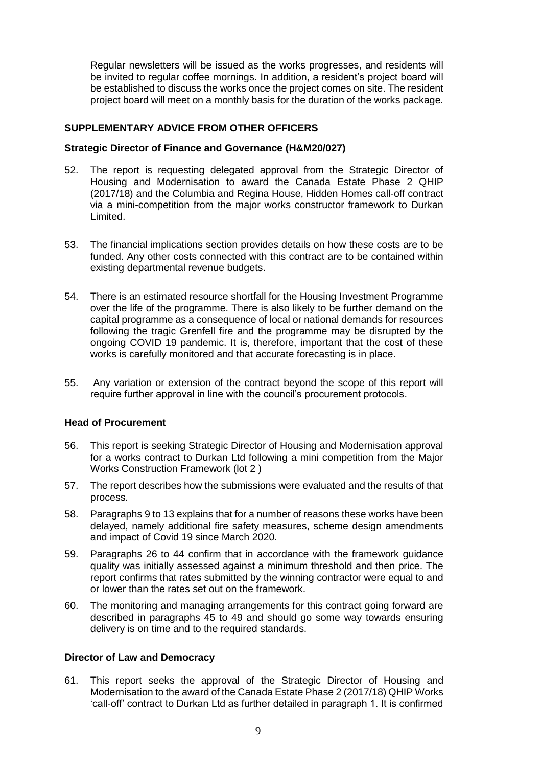Regular newsletters will be issued as the works progresses, and residents will be invited to regular coffee mornings. In addition, a resident's project board will be established to discuss the works once the project comes on site. The resident project board will meet on a monthly basis for the duration of the works package.

# **SUPPLEMENTARY ADVICE FROM OTHER OFFICERS**

#### **Strategic Director of Finance and Governance (H&M20/027)**

- 52. The report is requesting delegated approval from the Strategic Director of Housing and Modernisation to award the Canada Estate Phase 2 QHIP (2017/18) and the Columbia and Regina House, Hidden Homes call-off contract via a mini-competition from the major works constructor framework to Durkan Limited.
- 53. The financial implications section provides details on how these costs are to be funded. Any other costs connected with this contract are to be contained within existing departmental revenue budgets.
- 54. There is an estimated resource shortfall for the Housing Investment Programme over the life of the programme. There is also likely to be further demand on the capital programme as a consequence of local or national demands for resources following the tragic Grenfell fire and the programme may be disrupted by the ongoing COVID 19 pandemic. It is, therefore, important that the cost of these works is carefully monitored and that accurate forecasting is in place.
- 55. Any variation or extension of the contract beyond the scope of this report will require further approval in line with the council's procurement protocols.

### **Head of Procurement**

- 56. This report is seeking Strategic Director of Housing and Modernisation approval for a works contract to Durkan Ltd following a mini competition from the Major Works Construction Framework (lot 2 )
- 57. The report describes how the submissions were evaluated and the results of that process.
- 58. Paragraphs 9 to 13 explains that for a number of reasons these works have been delayed, namely additional fire safety measures, scheme design amendments and impact of Covid 19 since March 2020.
- 59. Paragraphs 26 to 44 confirm that in accordance with the framework guidance quality was initially assessed against a minimum threshold and then price. The report confirms that rates submitted by the winning contractor were equal to and or lower than the rates set out on the framework.
- 60. The monitoring and managing arrangements for this contract going forward are described in paragraphs 45 to 49 and should go some way towards ensuring delivery is on time and to the required standards.

### **Director of Law and Democracy**

61. This report seeks the approval of the Strategic Director of Housing and Modernisation to the award of the Canada Estate Phase 2 (2017/18) QHIP Works 'call-off' contract to Durkan Ltd as further detailed in paragraph 1. It is confirmed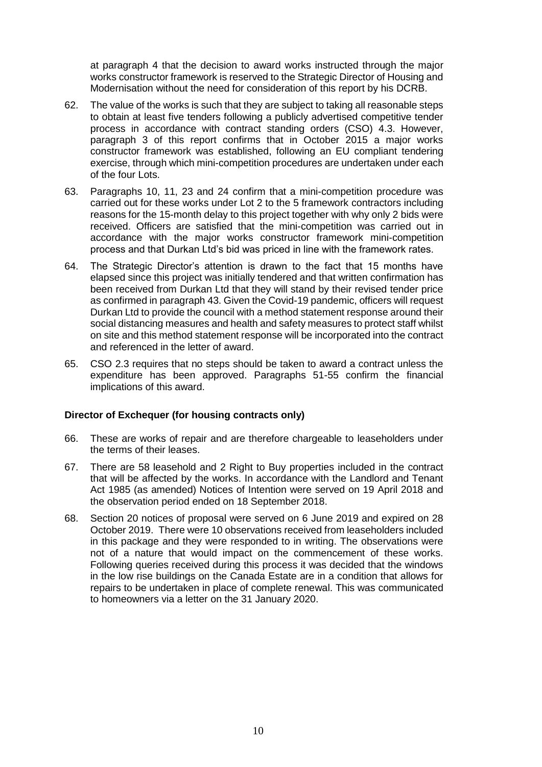at paragraph 4 that the decision to award works instructed through the major works constructor framework is reserved to the Strategic Director of Housing and Modernisation without the need for consideration of this report by his DCRB.

- 62. The value of the works is such that they are subject to taking all reasonable steps to obtain at least five tenders following a publicly advertised competitive tender process in accordance with contract standing orders (CSO) 4.3. However, paragraph 3 of this report confirms that in October 2015 a major works constructor framework was established, following an EU compliant tendering exercise, through which mini-competition procedures are undertaken under each of the four Lots.
- 63. Paragraphs 10, 11, 23 and 24 confirm that a mini-competition procedure was carried out for these works under Lot 2 to the 5 framework contractors including reasons for the 15-month delay to this project together with why only 2 bids were received. Officers are satisfied that the mini-competition was carried out in accordance with the major works constructor framework mini-competition process and that Durkan Ltd's bid was priced in line with the framework rates.
- 64. The Strategic Director's attention is drawn to the fact that 15 months have elapsed since this project was initially tendered and that written confirmation has been received from Durkan Ltd that they will stand by their revised tender price as confirmed in paragraph 43. Given the Covid-19 pandemic, officers will request Durkan Ltd to provide the council with a method statement response around their social distancing measures and health and safety measures to protect staff whilst on site and this method statement response will be incorporated into the contract and referenced in the letter of award.
- 65. CSO 2.3 requires that no steps should be taken to award a contract unless the expenditure has been approved. Paragraphs 51-55 confirm the financial implications of this award.

#### **Director of Exchequer (for housing contracts only)**

- 66. These are works of repair and are therefore chargeable to leaseholders under the terms of their leases.
- 67. There are 58 leasehold and 2 Right to Buy properties included in the contract that will be affected by the works. In accordance with the Landlord and Tenant Act 1985 (as amended) Notices of Intention were served on 19 April 2018 and the observation period ended on 18 September 2018.
- 68. Section 20 notices of proposal were served on 6 June 2019 and expired on 28 October 2019. There were 10 observations received from leaseholders included in this package and they were responded to in writing. The observations were not of a nature that would impact on the commencement of these works. Following queries received during this process it was decided that the windows in the low rise buildings on the Canada Estate are in a condition that allows for repairs to be undertaken in place of complete renewal. This was communicated to homeowners via a letter on the 31 January 2020.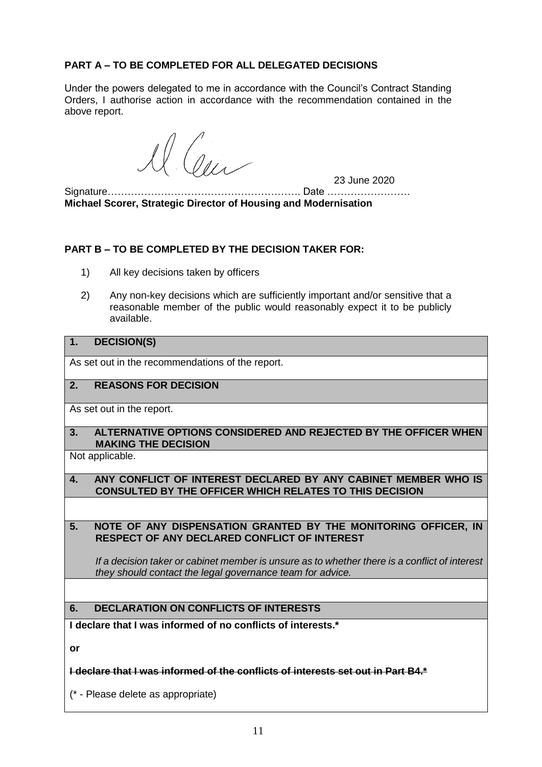# **PART A – TO BE COMPLETED FOR ALL DELEGATED DECISIONS**

Under the powers delegated to me in accordance with the Council's Contract Standing Orders, I authorise action in accordance with the recommendation contained in the above report.

 $\langle 0_{l} \rangle$ 

23 June 2020

Signature…………………………………………………. Date ……………………. **Michael Scorer, Strategic Director of Housing and Modernisation**

### **PART B – TO BE COMPLETED BY THE DECISION TAKER FOR:**

- 1) All key decisions taken by officers
- 2) Any non-key decisions which are sufficiently important and/or sensitive that a reasonable member of the public would reasonably expect it to be publicly available.

# **1. DECISION(S)**

As set out in the recommendations of the report.

# **2. REASONS FOR DECISION**

As set out in the report.

**3. ALTERNATIVE OPTIONS CONSIDERED AND REJECTED BY THE OFFICER WHEN MAKING THE DECISION**

Not applicable.

**4. ANY CONFLICT OF INTEREST DECLARED BY ANY CABINET MEMBER WHO IS CONSULTED BY THE OFFICER WHICH RELATES TO THIS DECISION**

**5. NOTE OF ANY DISPENSATION GRANTED BY THE MONITORING OFFICER, IN RESPECT OF ANY DECLARED CONFLICT OF INTEREST**

*If a decision taker or cabinet member is unsure as to whether there is a conflict of interest they should contact the legal governance team for advice.*

# **6. DECLARATION ON CONFLICTS OF INTERESTS**

**I declare that I was informed of no conflicts of interests.\***

**or**

#### **I declare that I was informed of the conflicts of interests set out in Part B4.\***

(\* - Please delete as appropriate)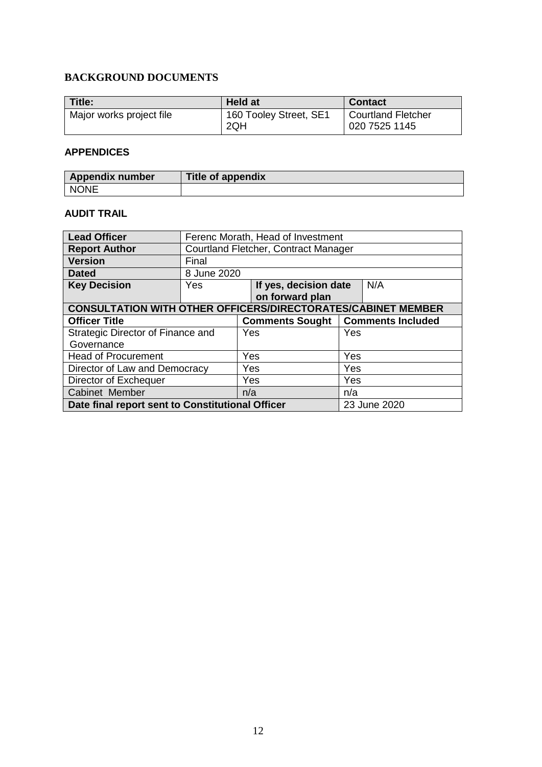# **BACKGROUND DOCUMENTS**

| Title:                   | <b>Held at</b>                | <b>Contact</b>                      |
|--------------------------|-------------------------------|-------------------------------------|
| Major works project file | 160 Tooley Street, SE1<br>2QH | Courtland Fletcher<br>020 7525 1145 |

#### **APPENDICES**

| <b>Appendix number</b> | <b>Title of appendix</b> |
|------------------------|--------------------------|
| <b>NONE</b>            |                          |

# **AUDIT TRAIL**

| <b>Lead Officer</b>                                                        | Ferenc Morath, Head of Investment    |  |            |     |     |  |
|----------------------------------------------------------------------------|--------------------------------------|--|------------|-----|-----|--|
| <b>Report Author</b>                                                       | Courtland Fletcher, Contract Manager |  |            |     |     |  |
| <b>Version</b>                                                             | Final                                |  |            |     |     |  |
| <b>Dated</b>                                                               | 8 June 2020                          |  |            |     |     |  |
| <b>Key Decision</b>                                                        | If yes, decision date<br>Yes         |  |            | N/A |     |  |
|                                                                            | on forward plan                      |  |            |     |     |  |
| <b>CONSULTATION WITH OTHER OFFICERS/DIRECTORATES/CABINET MEMBER</b>        |                                      |  |            |     |     |  |
| <b>Officer Title</b><br><b>Comments Included</b><br><b>Comments Sought</b> |                                      |  |            |     |     |  |
| Strategic Director of Finance and                                          |                                      |  | Yes<br>Yes |     |     |  |
| Governance                                                                 |                                      |  |            |     |     |  |
| <b>Head of Procurement</b>                                                 |                                      |  | Yes<br>Yes |     |     |  |
| Director of Law and Democracy                                              |                                      |  | Yes<br>Yes |     |     |  |
| Director of Exchequer                                                      |                                      |  | Yes        |     | Yes |  |
| Cabinet Member                                                             |                                      |  | n/a<br>n/a |     |     |  |
| Date final report sent to Constitutional Officer<br>23 June 2020           |                                      |  |            |     |     |  |